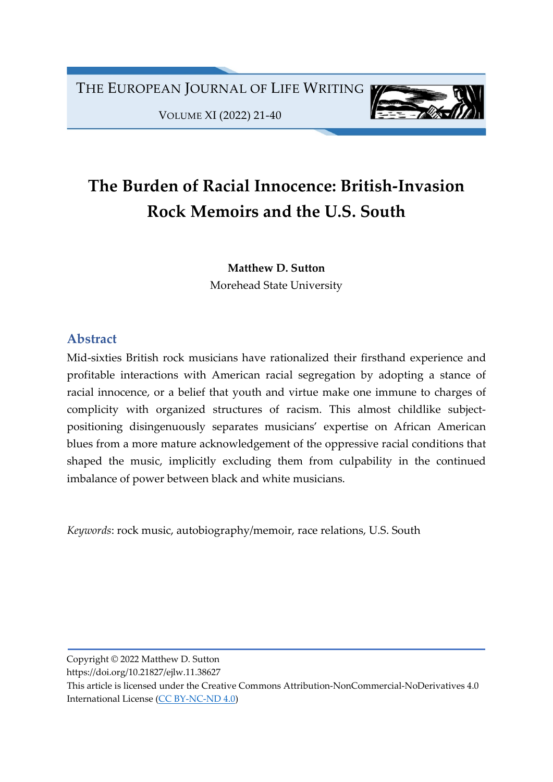THE EUROPEAN JOURNAL OF LIFE WRITING

VOLUME XI (2022) 21-40



## The Burden of Racial Innocence: British-Invasion Rock Memoirs and the U.S. South

Matthew D. Sutton Morehead State University

## Abstract

Mid-sixties British rock musicians have rationalized their firsthand experience and profitable interactions with American racial segregation by adopting a stance of racial innocence, or a belief that youth and virtue make one immune to charges of complicity with organized structures of racism. This almost childlike subjectpositioning disingenuously separates musicians' expertise on African American blues from a more mature acknowledgement of the oppressive racial conditions that shaped the music, implicitly excluding them from culpability in the continued imbalance of power between black and white musicians.

Keywords: rock music, autobiography/memoir, race relations, U.S. South

Copyright © 2022 Matthew D. Sutton

https://doi.org/10.21827/ejlw.11.38627

This article is licensed under the Creative Commons Attribution-NonCommercial-NoDerivatives 4.0 International License (CC BY-NC-ND 4.0)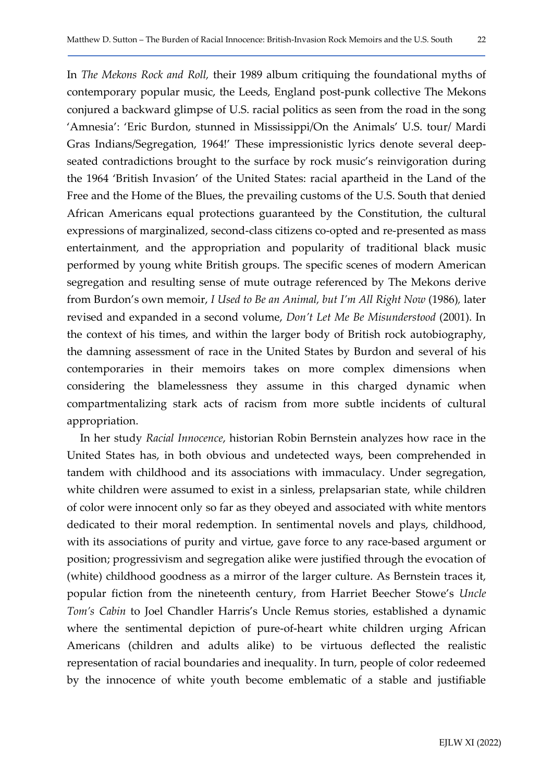In The Mekons Rock and Roll, their 1989 album critiquing the foundational myths of contemporary popular music, the Leeds, England post-punk collective The Mekons conjured a backward glimpse of U.S. racial politics as seen from the road in the song 'Amnesia': 'Eric Burdon, stunned in Mississippi/On the Animals' U.S. tour/ Mardi Gras Indians/Segregation, 1964!' These impressionistic lyrics denote several deepseated contradictions brought to the surface by rock music's reinvigoration during the 1964 'British Invasion' of the United States: racial apartheid in the Land of the Free and the Home of the Blues, the prevailing customs of the U.S. South that denied African Americans equal protections guaranteed by the Constitution, the cultural expressions of marginalized, second-class citizens co-opted and re-presented as mass entertainment, and the appropriation and popularity of traditional black music performed by young white British groups. The specific scenes of modern American segregation and resulting sense of mute outrage referenced by The Mekons derive from Burdon's own memoir, I Used to Be an Animal, but I'm All Right Now (1986), later revised and expanded in a second volume, Don't Let Me Be Misunderstood (2001). In the context of his times, and within the larger body of British rock autobiography, the damning assessment of race in the United States by Burdon and several of his contemporaries in their memoirs takes on more complex dimensions when considering the blamelessness they assume in this charged dynamic when compartmentalizing stark acts of racism from more subtle incidents of cultural appropriation.

In her study Racial Innocence, historian Robin Bernstein analyzes how race in the United States has, in both obvious and undetected ways, been comprehended in tandem with childhood and its associations with immaculacy. Under segregation, white children were assumed to exist in a sinless, prelapsarian state, while children of color were innocent only so far as they obeyed and associated with white mentors dedicated to their moral redemption. In sentimental novels and plays, childhood, with its associations of purity and virtue, gave force to any race-based argument or position; progressivism and segregation alike were justified through the evocation of (white) childhood goodness as a mirror of the larger culture. As Bernstein traces it, popular fiction from the nineteenth century, from Harriet Beecher Stowe's Uncle Tom's Cabin to Joel Chandler Harris's Uncle Remus stories, established a dynamic where the sentimental depiction of pure-of-heart white children urging African Americans (children and adults alike) to be virtuous deflected the realistic representation of racial boundaries and inequality. In turn, people of color redeemed by the innocence of white youth become emblematic of a stable and justifiable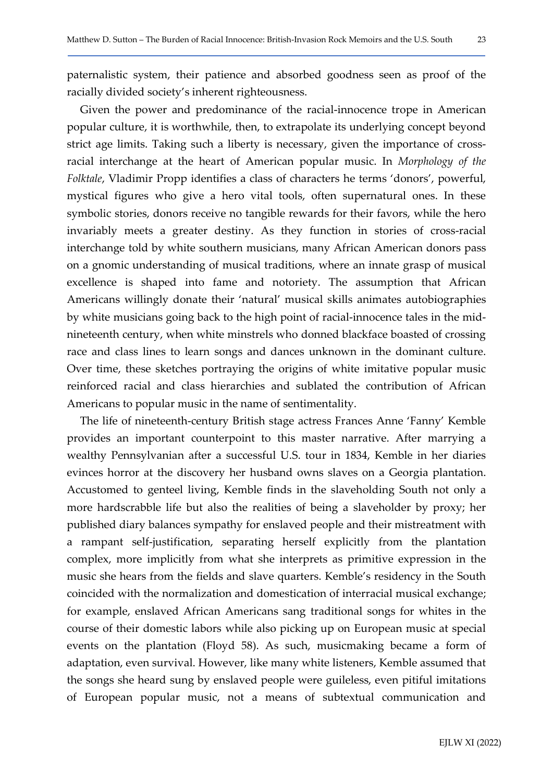Given the power and predominance of the racial-innocence trope in American popular culture, it is worthwhile, then, to extrapolate its underlying concept beyond strict age limits. Taking such a liberty is necessary, given the importance of crossracial interchange at the heart of American popular music. In Morphology of the Folktale, Vladimir Propp identifies a class of characters he terms 'donors', powerful, mystical figures who give a hero vital tools, often supernatural ones. In these symbolic stories, donors receive no tangible rewards for their favors, while the hero invariably meets a greater destiny. As they function in stories of cross-racial interchange told by white southern musicians, many African American donors pass on a gnomic understanding of musical traditions, where an innate grasp of musical excellence is shaped into fame and notoriety. The assumption that African Americans willingly donate their 'natural' musical skills animates autobiographies by white musicians going back to the high point of racial-innocence tales in the midnineteenth century, when white minstrels who donned blackface boasted of crossing race and class lines to learn songs and dances unknown in the dominant culture. Over time, these sketches portraying the origins of white imitative popular music reinforced racial and class hierarchies and sublated the contribution of African Americans to popular music in the name of sentimentality.

The life of nineteenth-century British stage actress Frances Anne 'Fanny' Kemble provides an important counterpoint to this master narrative. After marrying a wealthy Pennsylvanian after a successful U.S. tour in 1834, Kemble in her diaries evinces horror at the discovery her husband owns slaves on a Georgia plantation. Accustomed to genteel living, Kemble finds in the slaveholding South not only a more hardscrabble life but also the realities of being a slaveholder by proxy; her published diary balances sympathy for enslaved people and their mistreatment with a rampant self-justification, separating herself explicitly from the plantation complex, more implicitly from what she interprets as primitive expression in the music she hears from the fields and slave quarters. Kemble's residency in the South coincided with the normalization and domestication of interracial musical exchange; for example, enslaved African Americans sang traditional songs for whites in the course of their domestic labors while also picking up on European music at special events on the plantation (Floyd 58). As such, musicmaking became a form of adaptation, even survival. However, like many white listeners, Kemble assumed that the songs she heard sung by enslaved people were guileless, even pitiful imitations of European popular music, not a means of subtextual communication and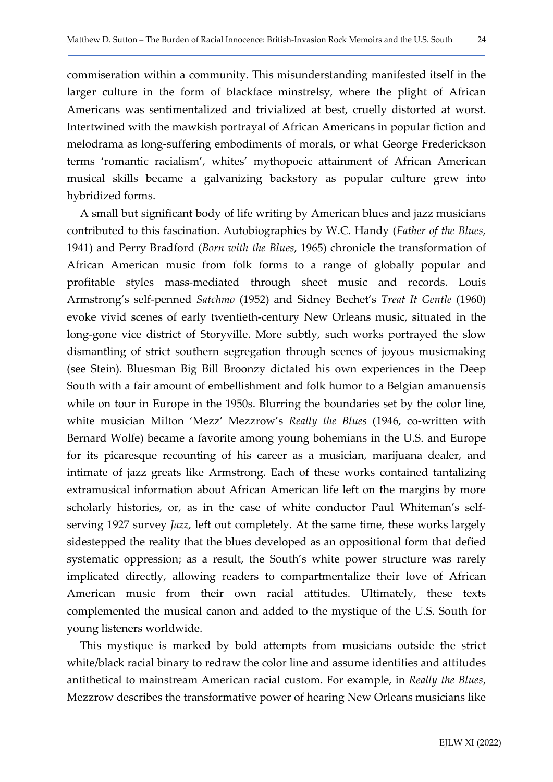commiseration within a community. This misunderstanding manifested itself in the larger culture in the form of blackface minstrelsy, where the plight of African Americans was sentimentalized and trivialized at best, cruelly distorted at worst. Intertwined with the mawkish portrayal of African Americans in popular fiction and melodrama as long-suffering embodiments of morals, or what George Frederickson terms 'romantic racialism', whites' mythopoeic attainment of African American musical skills became a galvanizing backstory as popular culture grew into hybridized forms.

A small but significant body of life writing by American blues and jazz musicians contributed to this fascination. Autobiographies by W.C. Handy (Father of the Blues, 1941) and Perry Bradford (Born with the Blues, 1965) chronicle the transformation of African American music from folk forms to a range of globally popular and profitable styles mass-mediated through sheet music and records. Louis Armstrong's self-penned Satchmo (1952) and Sidney Bechet's Treat It Gentle (1960) evoke vivid scenes of early twentieth-century New Orleans music, situated in the long-gone vice district of Storyville. More subtly, such works portrayed the slow dismantling of strict southern segregation through scenes of joyous musicmaking (see Stein). Bluesman Big Bill Broonzy dictated his own experiences in the Deep South with a fair amount of embellishment and folk humor to a Belgian amanuensis while on tour in Europe in the 1950s. Blurring the boundaries set by the color line, white musician Milton 'Mezz' Mezzrow's Really the Blues (1946, co-written with Bernard Wolfe) became a favorite among young bohemians in the U.S. and Europe for its picaresque recounting of his career as a musician, marijuana dealer, and intimate of jazz greats like Armstrong. Each of these works contained tantalizing extramusical information about African American life left on the margins by more scholarly histories, or, as in the case of white conductor Paul Whiteman's selfserving 1927 survey Jazz, left out completely. At the same time, these works largely sidestepped the reality that the blues developed as an oppositional form that defied systematic oppression; as a result, the South's white power structure was rarely implicated directly, allowing readers to compartmentalize their love of African American music from their own racial attitudes. Ultimately, these texts complemented the musical canon and added to the mystique of the U.S. South for young listeners worldwide.

This mystique is marked by bold attempts from musicians outside the strict white/black racial binary to redraw the color line and assume identities and attitudes antithetical to mainstream American racial custom. For example, in Really the Blues, Mezzrow describes the transformative power of hearing New Orleans musicians like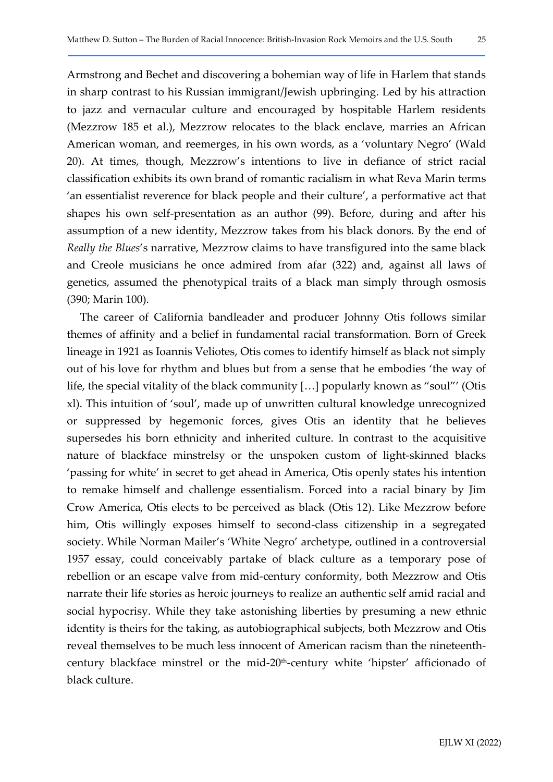Armstrong and Bechet and discovering a bohemian way of life in Harlem that stands in sharp contrast to his Russian immigrant/Jewish upbringing. Led by his attraction to jazz and vernacular culture and encouraged by hospitable Harlem residents (Mezzrow 185 et al.), Mezzrow relocates to the black enclave, marries an African American woman, and reemerges, in his own words, as a 'voluntary Negro' (Wald 20). At times, though, Mezzrow's intentions to live in defiance of strict racial classification exhibits its own brand of romantic racialism in what Reva Marin terms 'an essentialist reverence for black people and their culture', a performative act that shapes his own self-presentation as an author (99). Before, during and after his assumption of a new identity, Mezzrow takes from his black donors. By the end of Really the Blues's narrative, Mezzrow claims to have transfigured into the same black and Creole musicians he once admired from afar (322) and, against all laws of genetics, assumed the phenotypical traits of a black man simply through osmosis (390; Marin 100).

The career of California bandleader and producer Johnny Otis follows similar themes of affinity and a belief in fundamental racial transformation. Born of Greek lineage in 1921 as Ioannis Veliotes, Otis comes to identify himself as black not simply out of his love for rhythm and blues but from a sense that he embodies 'the way of life, the special vitality of the black community […] popularly known as "soul"' (Otis xl). This intuition of 'soul', made up of unwritten cultural knowledge unrecognized or suppressed by hegemonic forces, gives Otis an identity that he believes supersedes his born ethnicity and inherited culture. In contrast to the acquisitive nature of blackface minstrelsy or the unspoken custom of light-skinned blacks 'passing for white' in secret to get ahead in America, Otis openly states his intention to remake himself and challenge essentialism. Forced into a racial binary by Jim Crow America, Otis elects to be perceived as black (Otis 12). Like Mezzrow before him, Otis willingly exposes himself to second-class citizenship in a segregated society. While Norman Mailer's 'White Negro' archetype, outlined in a controversial 1957 essay, could conceivably partake of black culture as a temporary pose of rebellion or an escape valve from mid-century conformity, both Mezzrow and Otis narrate their life stories as heroic journeys to realize an authentic self amid racial and social hypocrisy. While they take astonishing liberties by presuming a new ethnic identity is theirs for the taking, as autobiographical subjects, both Mezzrow and Otis reveal themselves to be much less innocent of American racism than the nineteenthcentury blackface minstrel or the mid-20th-century white 'hipster' afficionado of black culture.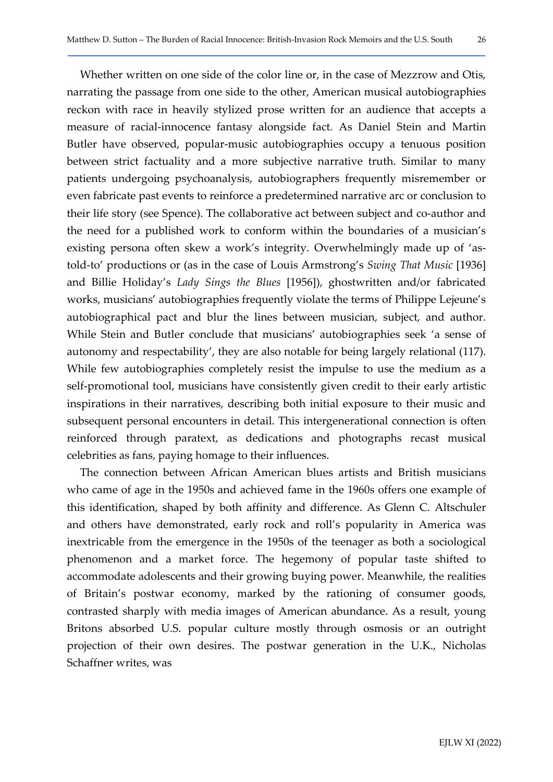Whether written on one side of the color line or, in the case of Mezzrow and Otis, narrating the passage from one side to the other, American musical autobiographies reckon with race in heavily stylized prose written for an audience that accepts a measure of racial-innocence fantasy alongside fact. As Daniel Stein and Martin Butler have observed, popular-music autobiographies occupy a tenuous position between strict factuality and a more subjective narrative truth. Similar to many patients undergoing psychoanalysis, autobiographers frequently misremember or even fabricate past events to reinforce a predetermined narrative arc or conclusion to their life story (see Spence). The collaborative act between subject and co-author and the need for a published work to conform within the boundaries of a musician's existing persona often skew a work's integrity. Overwhelmingly made up of 'astold-to' productions or (as in the case of Louis Armstrong's Swing That Music [1936] and Billie Holiday's Lady Sings the Blues [1956]), ghostwritten and/or fabricated works, musicians' autobiographies frequently violate the terms of Philippe Lejeune's autobiographical pact and blur the lines between musician, subject, and author. While Stein and Butler conclude that musicians' autobiographies seek 'a sense of autonomy and respectability', they are also notable for being largely relational (117). While few autobiographies completely resist the impulse to use the medium as a self-promotional tool, musicians have consistently given credit to their early artistic inspirations in their narratives, describing both initial exposure to their music and subsequent personal encounters in detail. This intergenerational connection is often reinforced through paratext, as dedications and photographs recast musical celebrities as fans, paying homage to their influences.

The connection between African American blues artists and British musicians who came of age in the 1950s and achieved fame in the 1960s offers one example of this identification, shaped by both affinity and difference. As Glenn C. Altschuler and others have demonstrated, early rock and roll's popularity in America was inextricable from the emergence in the 1950s of the teenager as both a sociological phenomenon and a market force. The hegemony of popular taste shifted to accommodate adolescents and their growing buying power. Meanwhile, the realities of Britain's postwar economy, marked by the rationing of consumer goods, contrasted sharply with media images of American abundance. As a result, young Britons absorbed U.S. popular culture mostly through osmosis or an outright projection of their own desires. The postwar generation in the U.K., Nicholas Schaffner writes, was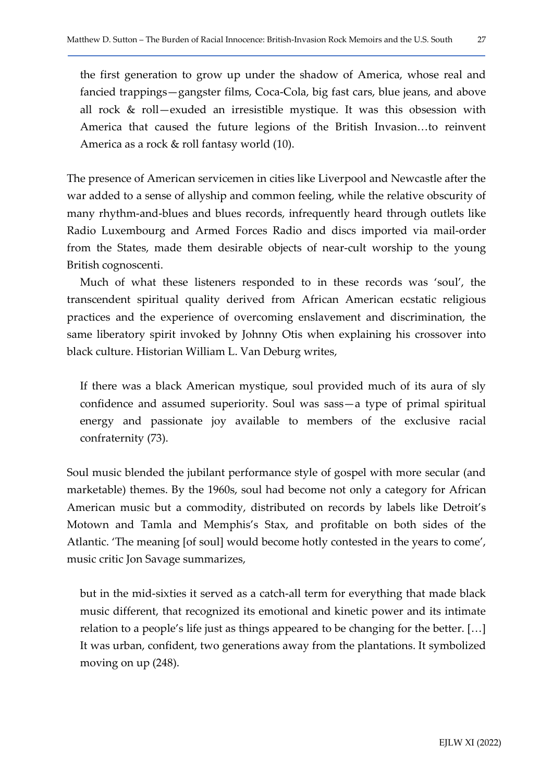the first generation to grow up under the shadow of America, whose real and fancied trappings—gangster films, Coca-Cola, big fast cars, blue jeans, and above all rock & roll—exuded an irresistible mystique. It was this obsession with America that caused the future legions of the British Invasion…to reinvent America as a rock & roll fantasy world (10).

The presence of American servicemen in cities like Liverpool and Newcastle after the war added to a sense of allyship and common feeling, while the relative obscurity of many rhythm-and-blues and blues records, infrequently heard through outlets like Radio Luxembourg and Armed Forces Radio and discs imported via mail-order from the States, made them desirable objects of near-cult worship to the young British cognoscenti.

Much of what these listeners responded to in these records was 'soul', the transcendent spiritual quality derived from African American ecstatic religious practices and the experience of overcoming enslavement and discrimination, the same liberatory spirit invoked by Johnny Otis when explaining his crossover into black culture. Historian William L. Van Deburg writes,

If there was a black American mystique, soul provided much of its aura of sly confidence and assumed superiority. Soul was sass—a type of primal spiritual energy and passionate joy available to members of the exclusive racial confraternity (73).

Soul music blended the jubilant performance style of gospel with more secular (and marketable) themes. By the 1960s, soul had become not only a category for African American music but a commodity, distributed on records by labels like Detroit's Motown and Tamla and Memphis's Stax, and profitable on both sides of the Atlantic. 'The meaning [of soul] would become hotly contested in the years to come', music critic Jon Savage summarizes,

but in the mid-sixties it served as a catch-all term for everything that made black music different, that recognized its emotional and kinetic power and its intimate relation to a people's life just as things appeared to be changing for the better. […] It was urban, confident, two generations away from the plantations. It symbolized moving on up (248).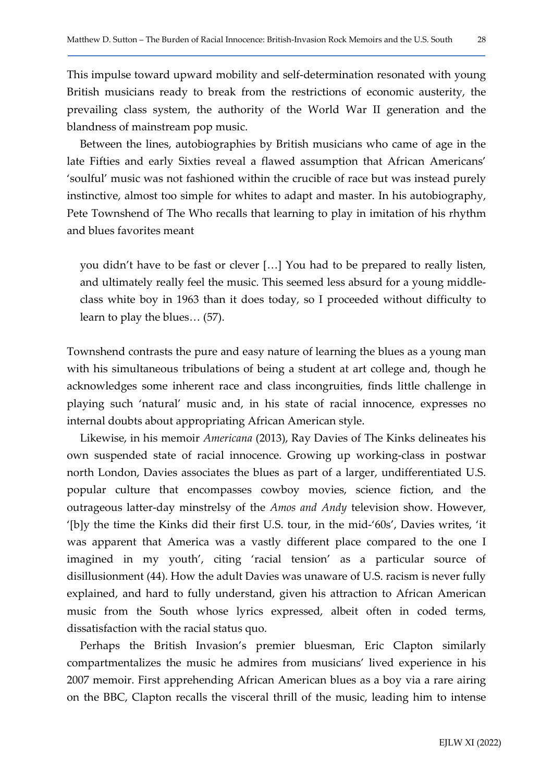This impulse toward upward mobility and self-determination resonated with young British musicians ready to break from the restrictions of economic austerity, the prevailing class system, the authority of the World War II generation and the blandness of mainstream pop music.

Between the lines, autobiographies by British musicians who came of age in the late Fifties and early Sixties reveal a flawed assumption that African Americans' 'soulful' music was not fashioned within the crucible of race but was instead purely instinctive, almost too simple for whites to adapt and master. In his autobiography, Pete Townshend of The Who recalls that learning to play in imitation of his rhythm and blues favorites meant

you didn't have to be fast or clever […] You had to be prepared to really listen, and ultimately really feel the music. This seemed less absurd for a young middleclass white boy in 1963 than it does today, so I proceeded without difficulty to learn to play the blues… (57).

Townshend contrasts the pure and easy nature of learning the blues as a young man with his simultaneous tribulations of being a student at art college and, though he acknowledges some inherent race and class incongruities, finds little challenge in playing such 'natural' music and, in his state of racial innocence, expresses no internal doubts about appropriating African American style.

Likewise, in his memoir Americana (2013), Ray Davies of The Kinks delineates his own suspended state of racial innocence. Growing up working-class in postwar north London, Davies associates the blues as part of a larger, undifferentiated U.S. popular culture that encompasses cowboy movies, science fiction, and the outrageous latter-day minstrelsy of the Amos and Andy television show. However, '[b]y the time the Kinks did their first U.S. tour, in the mid-'60s', Davies writes, 'it was apparent that America was a vastly different place compared to the one I imagined in my youth', citing 'racial tension' as a particular source of disillusionment (44). How the adult Davies was unaware of U.S. racism is never fully explained, and hard to fully understand, given his attraction to African American music from the South whose lyrics expressed, albeit often in coded terms, dissatisfaction with the racial status quo.

Perhaps the British Invasion's premier bluesman, Eric Clapton similarly compartmentalizes the music he admires from musicians' lived experience in his 2007 memoir. First apprehending African American blues as a boy via a rare airing on the BBC, Clapton recalls the visceral thrill of the music, leading him to intense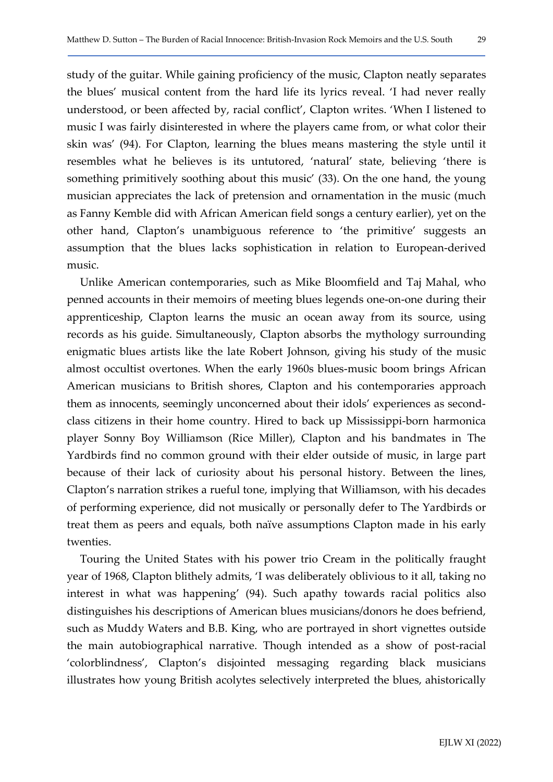study of the guitar. While gaining proficiency of the music, Clapton neatly separates the blues' musical content from the hard life its lyrics reveal. 'I had never really understood, or been affected by, racial conflict', Clapton writes. 'When I listened to music I was fairly disinterested in where the players came from, or what color their skin was' (94). For Clapton, learning the blues means mastering the style until it resembles what he believes is its untutored, 'natural' state, believing 'there is something primitively soothing about this music' (33). On the one hand, the young musician appreciates the lack of pretension and ornamentation in the music (much as Fanny Kemble did with African American field songs a century earlier), yet on the other hand, Clapton's unambiguous reference to 'the primitive' suggests an assumption that the blues lacks sophistication in relation to European-derived music.

Unlike American contemporaries, such as Mike Bloomfield and Taj Mahal, who penned accounts in their memoirs of meeting blues legends one-on-one during their apprenticeship, Clapton learns the music an ocean away from its source, using records as his guide. Simultaneously, Clapton absorbs the mythology surrounding enigmatic blues artists like the late Robert Johnson, giving his study of the music almost occultist overtones. When the early 1960s blues-music boom brings African American musicians to British shores, Clapton and his contemporaries approach them as innocents, seemingly unconcerned about their idols' experiences as secondclass citizens in their home country. Hired to back up Mississippi-born harmonica player Sonny Boy Williamson (Rice Miller), Clapton and his bandmates in The Yardbirds find no common ground with their elder outside of music, in large part because of their lack of curiosity about his personal history. Between the lines, Clapton's narration strikes a rueful tone, implying that Williamson, with his decades of performing experience, did not musically or personally defer to The Yardbirds or treat them as peers and equals, both naïve assumptions Clapton made in his early twenties.

Touring the United States with his power trio Cream in the politically fraught year of 1968, Clapton blithely admits, 'I was deliberately oblivious to it all, taking no interest in what was happening' (94). Such apathy towards racial politics also distinguishes his descriptions of American blues musicians/donors he does befriend, such as Muddy Waters and B.B. King, who are portrayed in short vignettes outside the main autobiographical narrative. Though intended as a show of post-racial 'colorblindness', Clapton's disjointed messaging regarding black musicians illustrates how young British acolytes selectively interpreted the blues, ahistorically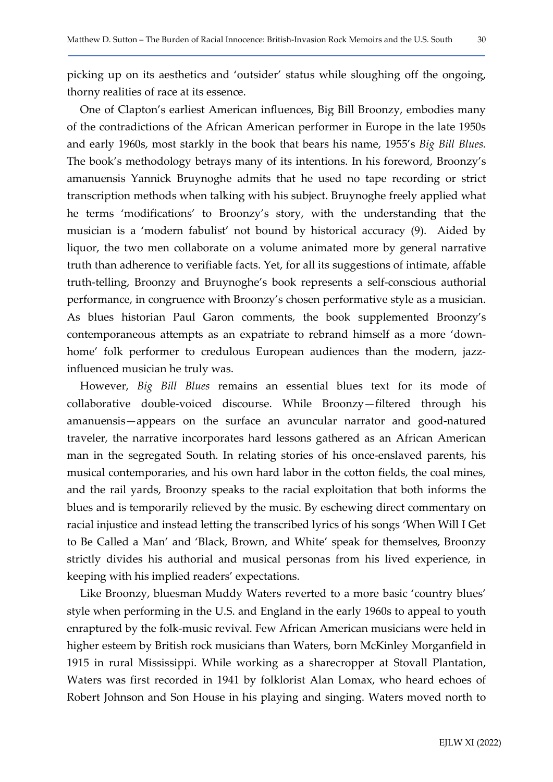picking up on its aesthetics and 'outsider' status while sloughing off the ongoing, thorny realities of race at its essence.

One of Clapton's earliest American influences, Big Bill Broonzy, embodies many of the contradictions of the African American performer in Europe in the late 1950s and early 1960s, most starkly in the book that bears his name, 1955's Big Bill Blues. The book's methodology betrays many of its intentions. In his foreword, Broonzy's amanuensis Yannick Bruynoghe admits that he used no tape recording or strict transcription methods when talking with his subject. Bruynoghe freely applied what he terms 'modifications' to Broonzy's story, with the understanding that the musician is a 'modern fabulist' not bound by historical accuracy (9). Aided by liquor, the two men collaborate on a volume animated more by general narrative truth than adherence to verifiable facts. Yet, for all its suggestions of intimate, affable truth-telling, Broonzy and Bruynoghe's book represents a self-conscious authorial performance, in congruence with Broonzy's chosen performative style as a musician. As blues historian Paul Garon comments, the book supplemented Broonzy's contemporaneous attempts as an expatriate to rebrand himself as a more 'downhome' folk performer to credulous European audiences than the modern, jazzinfluenced musician he truly was.

However, Big Bill Blues remains an essential blues text for its mode of collaborative double-voiced discourse. While Broonzy—filtered through his amanuensis—appears on the surface an avuncular narrator and good-natured traveler, the narrative incorporates hard lessons gathered as an African American man in the segregated South. In relating stories of his once-enslaved parents, his musical contemporaries, and his own hard labor in the cotton fields, the coal mines, and the rail yards, Broonzy speaks to the racial exploitation that both informs the blues and is temporarily relieved by the music. By eschewing direct commentary on racial injustice and instead letting the transcribed lyrics of his songs 'When Will I Get to Be Called a Man' and 'Black, Brown, and White' speak for themselves, Broonzy strictly divides his authorial and musical personas from his lived experience, in keeping with his implied readers' expectations.

Like Broonzy, bluesman Muddy Waters reverted to a more basic 'country blues' style when performing in the U.S. and England in the early 1960s to appeal to youth enraptured by the folk-music revival. Few African American musicians were held in higher esteem by British rock musicians than Waters, born McKinley Morganfield in 1915 in rural Mississippi. While working as a sharecropper at Stovall Plantation, Waters was first recorded in 1941 by folklorist Alan Lomax, who heard echoes of Robert Johnson and Son House in his playing and singing. Waters moved north to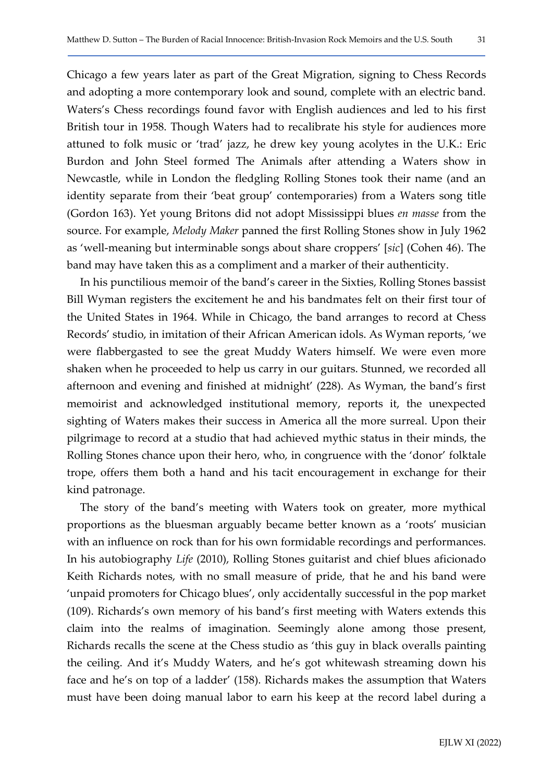Chicago a few years later as part of the Great Migration, signing to Chess Records and adopting a more contemporary look and sound, complete with an electric band. Waters's Chess recordings found favor with English audiences and led to his first British tour in 1958. Though Waters had to recalibrate his style for audiences more attuned to folk music or 'trad' jazz, he drew key young acolytes in the U.K.: Eric Burdon and John Steel formed The Animals after attending a Waters show in Newcastle, while in London the fledgling Rolling Stones took their name (and an identity separate from their 'beat group' contemporaries) from a Waters song title (Gordon 163). Yet young Britons did not adopt Mississippi blues en masse from the source. For example, Melody Maker panned the first Rolling Stones show in July 1962 as 'well-meaning but interminable songs about share croppers' [sic] (Cohen 46). The

In his punctilious memoir of the band's career in the Sixties, Rolling Stones bassist Bill Wyman registers the excitement he and his bandmates felt on their first tour of the United States in 1964. While in Chicago, the band arranges to record at Chess Records' studio, in imitation of their African American idols. As Wyman reports, 'we were flabbergasted to see the great Muddy Waters himself. We were even more shaken when he proceeded to help us carry in our guitars. Stunned, we recorded all afternoon and evening and finished at midnight' (228). As Wyman, the band's first memoirist and acknowledged institutional memory, reports it, the unexpected sighting of Waters makes their success in America all the more surreal. Upon their pilgrimage to record at a studio that had achieved mythic status in their minds, the Rolling Stones chance upon their hero, who, in congruence with the 'donor' folktale trope, offers them both a hand and his tacit encouragement in exchange for their kind patronage.

band may have taken this as a compliment and a marker of their authenticity.

The story of the band's meeting with Waters took on greater, more mythical proportions as the bluesman arguably became better known as a 'roots' musician with an influence on rock than for his own formidable recordings and performances. In his autobiography Life (2010), Rolling Stones guitarist and chief blues aficionado Keith Richards notes, with no small measure of pride, that he and his band were 'unpaid promoters for Chicago blues', only accidentally successful in the pop market (109). Richards's own memory of his band's first meeting with Waters extends this claim into the realms of imagination. Seemingly alone among those present, Richards recalls the scene at the Chess studio as 'this guy in black overalls painting the ceiling. And it's Muddy Waters, and he's got whitewash streaming down his face and he's on top of a ladder' (158). Richards makes the assumption that Waters must have been doing manual labor to earn his keep at the record label during a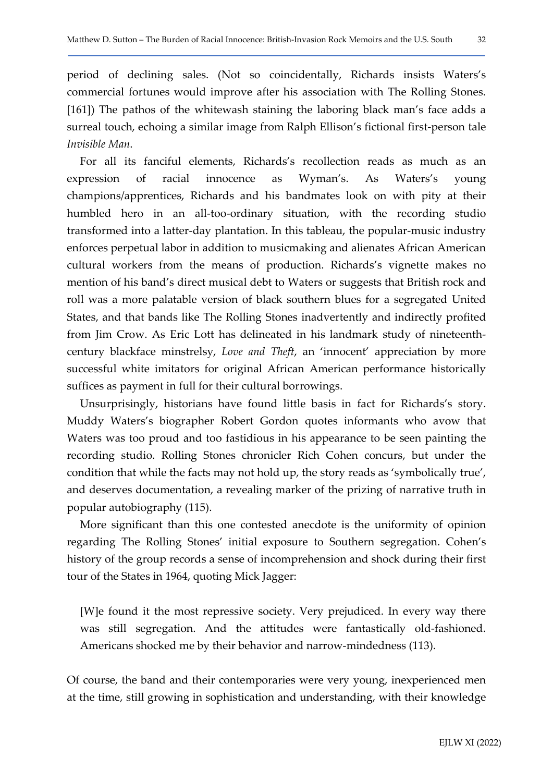period of declining sales. (Not so coincidentally, Richards insists Waters's commercial fortunes would improve after his association with The Rolling Stones. [161]) The pathos of the whitewash staining the laboring black man's face adds a surreal touch, echoing a similar image from Ralph Ellison's fictional first-person tale Invisible Man.

For all its fanciful elements, Richards's recollection reads as much as an expression of racial innocence as Wyman's. As Waters's young champions/apprentices, Richards and his bandmates look on with pity at their humbled hero in an all-too-ordinary situation, with the recording studio transformed into a latter-day plantation. In this tableau, the popular-music industry enforces perpetual labor in addition to musicmaking and alienates African American cultural workers from the means of production. Richards's vignette makes no mention of his band's direct musical debt to Waters or suggests that British rock and roll was a more palatable version of black southern blues for a segregated United States, and that bands like The Rolling Stones inadvertently and indirectly profited from Jim Crow. As Eric Lott has delineated in his landmark study of nineteenthcentury blackface minstrelsy, Love and Theft, an 'innocent' appreciation by more successful white imitators for original African American performance historically suffices as payment in full for their cultural borrowings.

Unsurprisingly, historians have found little basis in fact for Richards's story. Muddy Waters's biographer Robert Gordon quotes informants who avow that Waters was too proud and too fastidious in his appearance to be seen painting the recording studio. Rolling Stones chronicler Rich Cohen concurs, but under the condition that while the facts may not hold up, the story reads as 'symbolically true', and deserves documentation, a revealing marker of the prizing of narrative truth in popular autobiography (115).

More significant than this one contested anecdote is the uniformity of opinion regarding The Rolling Stones' initial exposure to Southern segregation. Cohen's history of the group records a sense of incomprehension and shock during their first tour of the States in 1964, quoting Mick Jagger:

[W]e found it the most repressive society. Very prejudiced. In every way there was still segregation. And the attitudes were fantastically old-fashioned. Americans shocked me by their behavior and narrow-mindedness (113).

Of course, the band and their contemporaries were very young, inexperienced men at the time, still growing in sophistication and understanding, with their knowledge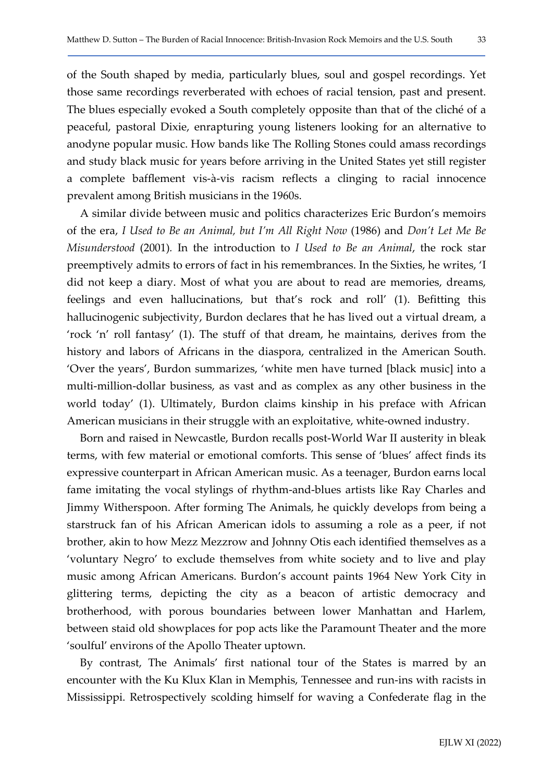of the South shaped by media, particularly blues, soul and gospel recordings. Yet those same recordings reverberated with echoes of racial tension, past and present. The blues especially evoked a South completely opposite than that of the cliché of a peaceful, pastoral Dixie, enrapturing young listeners looking for an alternative to anodyne popular music. How bands like The Rolling Stones could amass recordings and study black music for years before arriving in the United States yet still register a complete bafflement vis-à-vis racism reflects a clinging to racial innocence prevalent among British musicians in the 1960s.

A similar divide between music and politics characterizes Eric Burdon's memoirs of the era, I Used to Be an Animal, but I'm All Right Now (1986) and Don't Let Me Be Misunderstood (2001). In the introduction to I Used to Be an Animal, the rock star preemptively admits to errors of fact in his remembrances. In the Sixties, he writes, 'I did not keep a diary. Most of what you are about to read are memories, dreams, feelings and even hallucinations, but that's rock and roll' (1). Befitting this hallucinogenic subjectivity, Burdon declares that he has lived out a virtual dream, a 'rock 'n' roll fantasy' (1). The stuff of that dream, he maintains, derives from the history and labors of Africans in the diaspora, centralized in the American South. 'Over the years', Burdon summarizes, 'white men have turned [black music] into a multi-million-dollar business, as vast and as complex as any other business in the world today' (1). Ultimately, Burdon claims kinship in his preface with African American musicians in their struggle with an exploitative, white-owned industry.

Born and raised in Newcastle, Burdon recalls post-World War II austerity in bleak terms, with few material or emotional comforts. This sense of 'blues' affect finds its expressive counterpart in African American music. As a teenager, Burdon earns local fame imitating the vocal stylings of rhythm-and-blues artists like Ray Charles and Jimmy Witherspoon. After forming The Animals, he quickly develops from being a starstruck fan of his African American idols to assuming a role as a peer, if not brother, akin to how Mezz Mezzrow and Johnny Otis each identified themselves as a 'voluntary Negro' to exclude themselves from white society and to live and play music among African Americans. Burdon's account paints 1964 New York City in glittering terms, depicting the city as a beacon of artistic democracy and brotherhood, with porous boundaries between lower Manhattan and Harlem, between staid old showplaces for pop acts like the Paramount Theater and the more 'soulful' environs of the Apollo Theater uptown.

By contrast, The Animals' first national tour of the States is marred by an encounter with the Ku Klux Klan in Memphis, Tennessee and run-ins with racists in Mississippi. Retrospectively scolding himself for waving a Confederate flag in the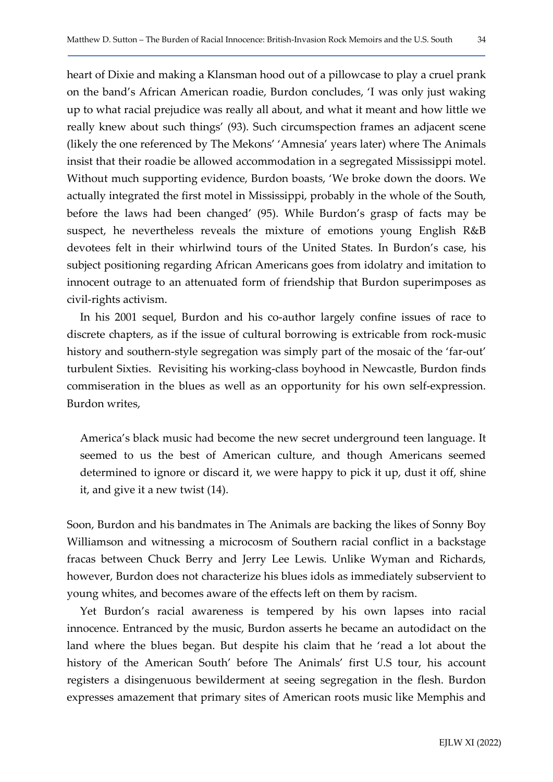heart of Dixie and making a Klansman hood out of a pillowcase to play a cruel prank on the band's African American roadie, Burdon concludes, 'I was only just waking up to what racial prejudice was really all about, and what it meant and how little we really knew about such things' (93). Such circumspection frames an adjacent scene (likely the one referenced by The Mekons' 'Amnesia' years later) where The Animals insist that their roadie be allowed accommodation in a segregated Mississippi motel. Without much supporting evidence, Burdon boasts, 'We broke down the doors. We actually integrated the first motel in Mississippi, probably in the whole of the South, before the laws had been changed' (95). While Burdon's grasp of facts may be suspect, he nevertheless reveals the mixture of emotions young English R&B devotees felt in their whirlwind tours of the United States. In Burdon's case, his subject positioning regarding African Americans goes from idolatry and imitation to innocent outrage to an attenuated form of friendship that Burdon superimposes as civil-rights activism.

In his 2001 sequel, Burdon and his co-author largely confine issues of race to discrete chapters, as if the issue of cultural borrowing is extricable from rock-music history and southern-style segregation was simply part of the mosaic of the 'far-out' turbulent Sixties. Revisiting his working-class boyhood in Newcastle, Burdon finds commiseration in the blues as well as an opportunity for his own self-expression. Burdon writes,

America's black music had become the new secret underground teen language. It seemed to us the best of American culture, and though Americans seemed determined to ignore or discard it, we were happy to pick it up, dust it off, shine it, and give it a new twist (14).

Soon, Burdon and his bandmates in The Animals are backing the likes of Sonny Boy Williamson and witnessing a microcosm of Southern racial conflict in a backstage fracas between Chuck Berry and Jerry Lee Lewis. Unlike Wyman and Richards, however, Burdon does not characterize his blues idols as immediately subservient to young whites, and becomes aware of the effects left on them by racism.

Yet Burdon's racial awareness is tempered by his own lapses into racial innocence. Entranced by the music, Burdon asserts he became an autodidact on the land where the blues began. But despite his claim that he 'read a lot about the history of the American South' before The Animals' first U.S tour, his account registers a disingenuous bewilderment at seeing segregation in the flesh. Burdon expresses amazement that primary sites of American roots music like Memphis and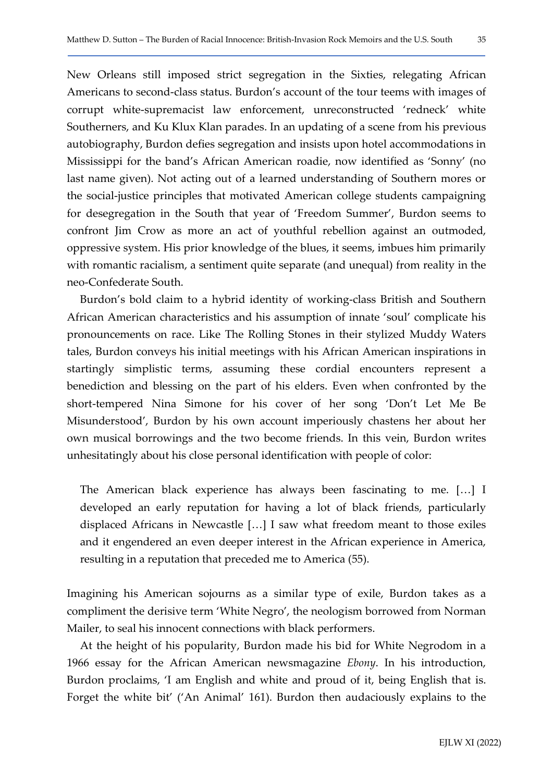New Orleans still imposed strict segregation in the Sixties, relegating African Americans to second-class status. Burdon's account of the tour teems with images of corrupt white-supremacist law enforcement, unreconstructed 'redneck' white Southerners, and Ku Klux Klan parades. In an updating of a scene from his previous autobiography, Burdon defies segregation and insists upon hotel accommodations in Mississippi for the band's African American roadie, now identified as 'Sonny' (no last name given). Not acting out of a learned understanding of Southern mores or the social-justice principles that motivated American college students campaigning for desegregation in the South that year of 'Freedom Summer', Burdon seems to confront Jim Crow as more an act of youthful rebellion against an outmoded, oppressive system. His prior knowledge of the blues, it seems, imbues him primarily with romantic racialism, a sentiment quite separate (and unequal) from reality in the neo-Confederate South.

Burdon's bold claim to a hybrid identity of working-class British and Southern African American characteristics and his assumption of innate 'soul' complicate his pronouncements on race. Like The Rolling Stones in their stylized Muddy Waters tales, Burdon conveys his initial meetings with his African American inspirations in startingly simplistic terms, assuming these cordial encounters represent a benediction and blessing on the part of his elders. Even when confronted by the short-tempered Nina Simone for his cover of her song 'Don't Let Me Be Misunderstood', Burdon by his own account imperiously chastens her about her own musical borrowings and the two become friends. In this vein, Burdon writes unhesitatingly about his close personal identification with people of color:

The American black experience has always been fascinating to me. […] I developed an early reputation for having a lot of black friends, particularly displaced Africans in Newcastle […] I saw what freedom meant to those exiles and it engendered an even deeper interest in the African experience in America, resulting in a reputation that preceded me to America (55).

Imagining his American sojourns as a similar type of exile, Burdon takes as a compliment the derisive term 'White Negro', the neologism borrowed from Norman Mailer, to seal his innocent connections with black performers.

At the height of his popularity, Burdon made his bid for White Negrodom in a 1966 essay for the African American newsmagazine Ebony. In his introduction, Burdon proclaims, 'I am English and white and proud of it, being English that is. Forget the white bit' ('An Animal' 161). Burdon then audaciously explains to the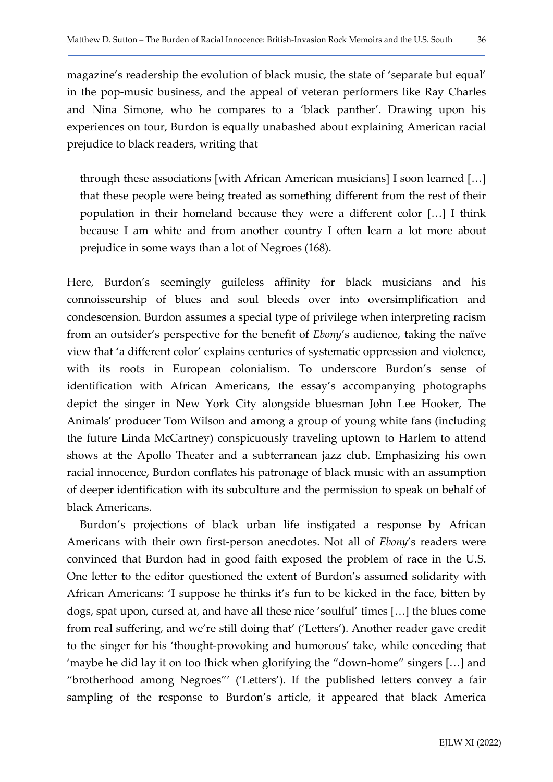magazine's readership the evolution of black music, the state of 'separate but equal' in the pop-music business, and the appeal of veteran performers like Ray Charles and Nina Simone, who he compares to a 'black panther'. Drawing upon his experiences on tour, Burdon is equally unabashed about explaining American racial prejudice to black readers, writing that

through these associations [with African American musicians] I soon learned […] that these people were being treated as something different from the rest of their population in their homeland because they were a different color […] I think because I am white and from another country I often learn a lot more about prejudice in some ways than a lot of Negroes (168).

Here, Burdon's seemingly guileless affinity for black musicians and his connoisseurship of blues and soul bleeds over into oversimplification and condescension. Burdon assumes a special type of privilege when interpreting racism from an outsider's perspective for the benefit of Ebony's audience, taking the naïve view that 'a different color' explains centuries of systematic oppression and violence, with its roots in European colonialism. To underscore Burdon's sense of identification with African Americans, the essay's accompanying photographs depict the singer in New York City alongside bluesman John Lee Hooker, The Animals' producer Tom Wilson and among a group of young white fans (including the future Linda McCartney) conspicuously traveling uptown to Harlem to attend shows at the Apollo Theater and a subterranean jazz club. Emphasizing his own racial innocence, Burdon conflates his patronage of black music with an assumption of deeper identification with its subculture and the permission to speak on behalf of black Americans.

Burdon's projections of black urban life instigated a response by African Americans with their own first-person anecdotes. Not all of Ebony's readers were convinced that Burdon had in good faith exposed the problem of race in the U.S. One letter to the editor questioned the extent of Burdon's assumed solidarity with African Americans: 'I suppose he thinks it's fun to be kicked in the face, bitten by dogs, spat upon, cursed at, and have all these nice 'soulful' times […] the blues come from real suffering, and we're still doing that' ('Letters'). Another reader gave credit to the singer for his 'thought-provoking and humorous' take, while conceding that 'maybe he did lay it on too thick when glorifying the "down-home" singers […] and "brotherhood among Negroes"' ('Letters'). If the published letters convey a fair sampling of the response to Burdon's article, it appeared that black America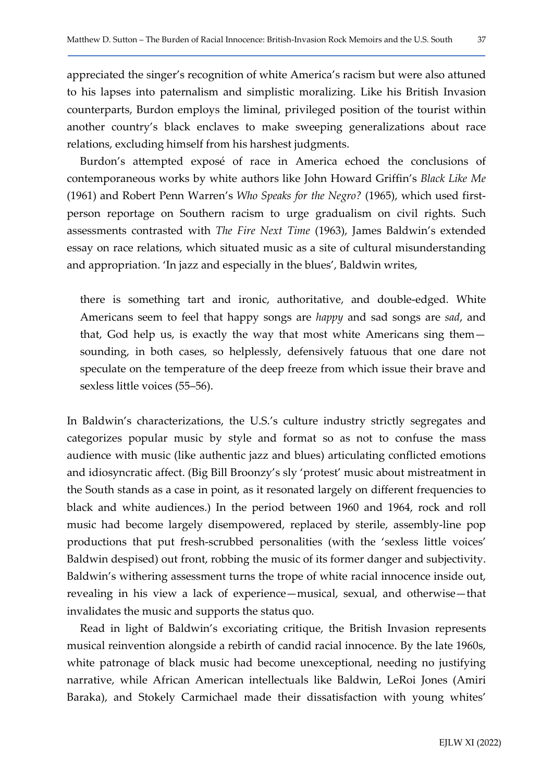appreciated the singer's recognition of white America's racism but were also attuned to his lapses into paternalism and simplistic moralizing. Like his British Invasion counterparts, Burdon employs the liminal, privileged position of the tourist within another country's black enclaves to make sweeping generalizations about race relations, excluding himself from his harshest judgments.

Burdon's attempted exposé of race in America echoed the conclusions of contemporaneous works by white authors like John Howard Griffin's Black Like Me (1961) and Robert Penn Warren's Who Speaks for the Negro? (1965), which used firstperson reportage on Southern racism to urge gradualism on civil rights. Such assessments contrasted with The Fire Next Time (1963), James Baldwin's extended essay on race relations, which situated music as a site of cultural misunderstanding and appropriation. 'In jazz and especially in the blues', Baldwin writes,

there is something tart and ironic, authoritative, and double-edged. White Americans seem to feel that happy songs are happy and sad songs are sad, and that, God help us, is exactly the way that most white Americans sing them sounding, in both cases, so helplessly, defensively fatuous that one dare not speculate on the temperature of the deep freeze from which issue their brave and sexless little voices (55–56).

In Baldwin's characterizations, the U.S.'s culture industry strictly segregates and categorizes popular music by style and format so as not to confuse the mass audience with music (like authentic jazz and blues) articulating conflicted emotions and idiosyncratic affect. (Big Bill Broonzy's sly 'protest' music about mistreatment in the South stands as a case in point, as it resonated largely on different frequencies to black and white audiences.) In the period between 1960 and 1964, rock and roll music had become largely disempowered, replaced by sterile, assembly-line pop productions that put fresh-scrubbed personalities (with the 'sexless little voices' Baldwin despised) out front, robbing the music of its former danger and subjectivity. Baldwin's withering assessment turns the trope of white racial innocence inside out, revealing in his view a lack of experience—musical, sexual, and otherwise—that invalidates the music and supports the status quo.

Read in light of Baldwin's excoriating critique, the British Invasion represents musical reinvention alongside a rebirth of candid racial innocence. By the late 1960s, white patronage of black music had become unexceptional, needing no justifying narrative, while African American intellectuals like Baldwin, LeRoi Jones (Amiri Baraka), and Stokely Carmichael made their dissatisfaction with young whites'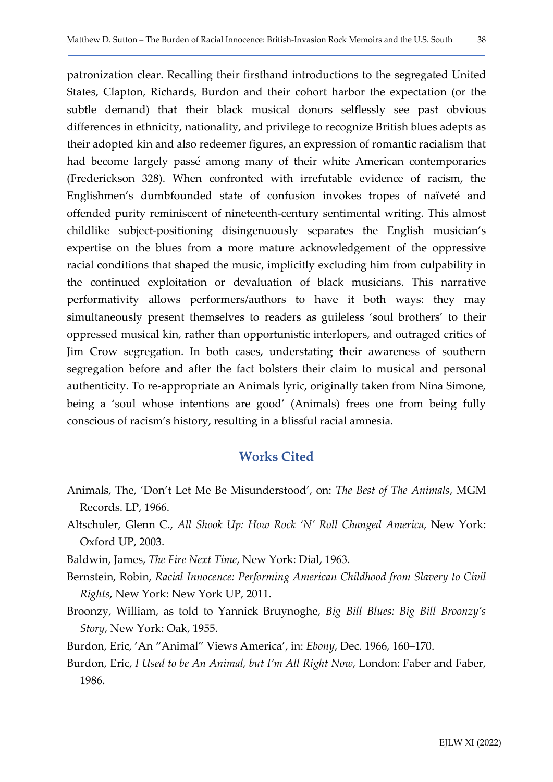patronization clear. Recalling their firsthand introductions to the segregated United States, Clapton, Richards, Burdon and their cohort harbor the expectation (or the subtle demand) that their black musical donors selflessly see past obvious differences in ethnicity, nationality, and privilege to recognize British blues adepts as their adopted kin and also redeemer figures, an expression of romantic racialism that had become largely passé among many of their white American contemporaries (Frederickson 328). When confronted with irrefutable evidence of racism, the Englishmen's dumbfounded state of confusion invokes tropes of naïveté and offended purity reminiscent of nineteenth-century sentimental writing. This almost childlike subject-positioning disingenuously separates the English musician's expertise on the blues from a more mature acknowledgement of the oppressive racial conditions that shaped the music, implicitly excluding him from culpability in the continued exploitation or devaluation of black musicians. This narrative performativity allows performers/authors to have it both ways: they may simultaneously present themselves to readers as guileless 'soul brothers' to their oppressed musical kin, rather than opportunistic interlopers, and outraged critics of Jim Crow segregation. In both cases, understating their awareness of southern segregation before and after the fact bolsters their claim to musical and personal authenticity. To re-appropriate an Animals lyric, originally taken from Nina Simone, being a 'soul whose intentions are good' (Animals) frees one from being fully conscious of racism's history, resulting in a blissful racial amnesia.

## Works Cited

- Animals, The, 'Don't Let Me Be Misunderstood', on: The Best of The Animals, MGM Records. LP, 1966.
- Altschuler, Glenn C., All Shook Up: How Rock 'N' Roll Changed America, New York: Oxford UP, 2003.

Baldwin, James, The Fire Next Time, New York: Dial, 1963.

- Bernstein, Robin, Racial Innocence: Performing American Childhood from Slavery to Civil Rights, New York: New York UP, 2011.
- Broonzy, William, as told to Yannick Bruynoghe, Big Bill Blues: Big Bill Broonzy's Story, New York: Oak, 1955.
- Burdon, Eric, 'An "Animal" Views America', in: Ebony, Dec. 1966, 160-170.
- Burdon, Eric, I Used to be An Animal, but I'm All Right Now, London: Faber and Faber, 1986.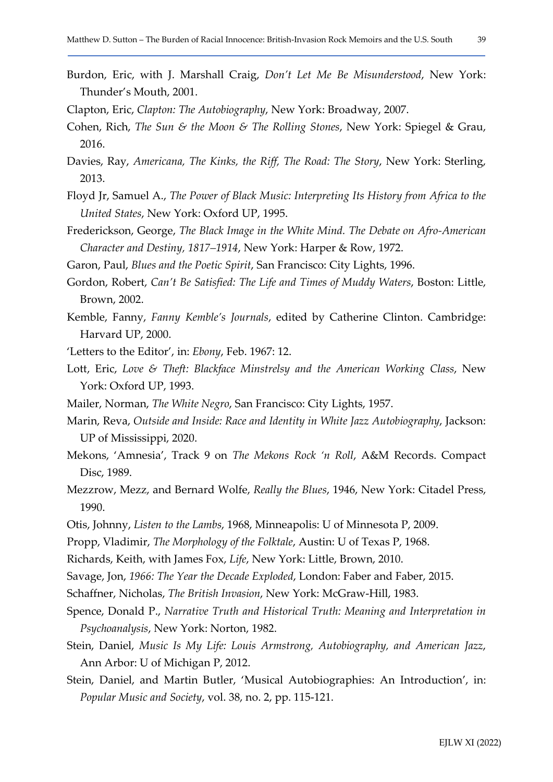- Burdon, Eric, with J. Marshall Craig, Don't Let Me Be Misunderstood, New York: Thunder's Mouth, 2001.
- Clapton, Eric, Clapton: The Autobiography, New York: Broadway, 2007.
- Cohen, Rich, The Sun & the Moon & The Rolling Stones, New York: Spiegel & Grau, 2016.
- Davies, Ray, Americana, The Kinks, the Riff, The Road: The Story, New York: Sterling, 2013.
- Floyd Jr, Samuel A., The Power of Black Music: Interpreting Its History from Africa to the United States, New York: Oxford UP, 1995.
- Frederickson, George, The Black Image in the White Mind. The Debate on Afro-American Character and Destiny, 1817–1914, New York: Harper & Row, 1972.
- Garon, Paul, Blues and the Poetic Spirit, San Francisco: City Lights, 1996.
- Gordon, Robert, Can't Be Satisfied: The Life and Times of Muddy Waters, Boston: Little, Brown, 2002.
- Kemble, Fanny, Fanny Kemble's Journals, edited by Catherine Clinton. Cambridge: Harvard UP, 2000.
- 'Letters to the Editor', in: Ebony, Feb. 1967: 12.
- Lott, Eric, Love & Theft: Blackface Minstrelsy and the American Working Class, New York: Oxford UP, 1993.
- Mailer, Norman, The White Negro, San Francisco: City Lights, 1957.
- Marin, Reva, Outside and Inside: Race and Identity in White Jazz Autobiography, Jackson: UP of Mississippi, 2020.
- Mekons, 'Amnesia', Track 9 on The Mekons Rock 'n Roll, A&M Records. Compact Disc, 1989.
- Mezzrow, Mezz, and Bernard Wolfe, Really the Blues, 1946, New York: Citadel Press, 1990.
- Otis, Johnny, Listen to the Lambs, 1968, Minneapolis: U of Minnesota P, 2009.
- Propp, Vladimir, The Morphology of the Folktale, Austin: U of Texas P, 1968.
- Richards, Keith, with James Fox, Life, New York: Little, Brown, 2010.
- Savage, Jon, 1966: The Year the Decade Exploded, London: Faber and Faber, 2015.
- Schaffner, Nicholas, The British Invasion, New York: McGraw-Hill, 1983.
- Spence, Donald P., Narrative Truth and Historical Truth: Meaning and Interpretation in Psychoanalysis, New York: Norton, 1982.
- Stein, Daniel, Music Is My Life: Louis Armstrong, Autobiography, and American Jazz, Ann Arbor: U of Michigan P, 2012.
- Stein, Daniel, and Martin Butler, 'Musical Autobiographies: An Introduction', in: Popular Music and Society, vol. 38, no. 2, pp. 115-121.